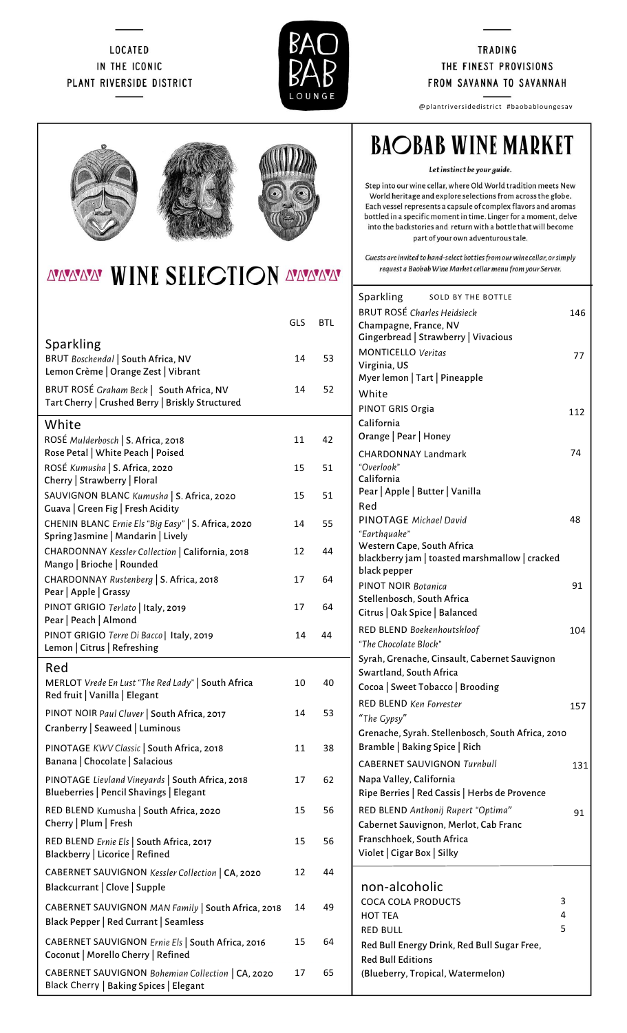### **LOCATED** IN THE ICONIC PLANT RIVERSIDE DISTRICT



#### **TRADING** THE FINEST PROVISIONS FROM SAVANNA TO SAVANNAH

@plantriversidedistrict #baobabloungesav





# AYAYAYAY WINE SELECTION AYAYAYAY

|                                                                                               | GLS | <b>BTL</b> |
|-----------------------------------------------------------------------------------------------|-----|------------|
| <b>Sparkling</b><br>BRUT Boschendal   South Africa, NV<br>Lemon Crème   Orange Zest   Vibrant | 14  | 53         |
| BRUT ROSÉ Graham Beck   South Africa, NV<br>Tart Cherry   Crushed Berry   Briskly Structured  | 14  | 52         |
| White                                                                                         |     |            |
| ROSÉ Mulderbosch   S. Africa, 2018<br>Rose Petal   White Peach   Poised                       | 11  | 42         |
| ROSÉ Kumusha   S. Africa, 2020<br>Cherry   Strawberry   Floral                                | 15  | 51         |
| SAUVIGNON BLANC Kumusha   S. Africa, 2020<br>Guava   Green Fig   Fresh Acidity                | 15  | 51         |
| CHENIN BLANC Ernie Els "Big Easy"   S. Africa, 2020<br>Spring Jasmine   Mandarin   Lively     | 14  | 55         |
| CHARDONNAY Kessler Collection   California, 2018<br>Mango   Brioche   Rounded                 | 12  | 44         |
| CHARDONNAY Rustenberg   S. Africa, 2018<br>Pear   Apple   Grassy                              | 17  | 64         |
| PINOT GRIGIO Terlato   Italy, 2019<br>Pear   Peach   Almond                                   | 17  | 64         |
| PINOT GRIGIO Terre Di Bacco   Italy, 2019<br>Lemon   Citrus   Refreshing                      | 14  | 44         |
| Red<br>MERLOT Vrede En Lust "The Red Lady"   South Africa<br>Red fruit   Vanilla   Elegant    | 10  | 40         |
| PINOT NOIR Paul Cluver   South Africa, 2017<br>Cranberry   Seaweed   Luminous                 | 14  | 53         |
| PINOTAGE KWV Classic   South Africa, 2018<br>Banana   Chocolate   Salacious                   | 11  | 38         |
| PINOTAGE Lievland Vineyards   South Africa, 2018<br>Blueberries   Pencil Shavings   Elegant   | 17  | 62         |
| RED BLEND Kumusha   South Africa, 2020<br>Cherry   Plum   Fresh                               | 15  | 56         |
| RED BLEND Ernie Els   South Africa, 2017<br>Blackberry   Licorice   Refined                   | 15  | 56         |
| CABERNET SAUVIGNON Kessler Collection   CA, 2020<br>Blackcurrant   Clove   Supple             | 12  | 44         |
| CABERNET SAUVIGNON MAN Family   South Africa, 2018<br>Black Pepper   Red Currant   Seamless   | 14  | 49         |
| CABERNET SAUVIGNON Ernie Els   South Africa, 2016<br>Coconut   Morello Cherry   Refined       | 15  | 64         |
| CABERNET SAUVIGNON Bohemian Collection   CA, 2020<br>Black Cherry   Baking Spices   Elegant   | 17  | 65         |

# **BAOBAB WINE MARKET**

Let instinct be your guide.

Step into our wine cellar, where Old World tradition meets New World heritage and explore selections from across the globe. Each vessel represents a capsule of complex flavors and aromas bottled in a specific moment in time. Linger for a moment, delve into the backstories and return with a bottle that will become part of your own adventurous tale.

Guests are invited to hand-select bottles from our wine cellar, or simply request a Baobab Wine Market cellar menu from your Server.

| Sparkling<br><b>SOLD BY THE BOTTLE</b>            |    |     |
|---------------------------------------------------|----|-----|
| <b>BRUT ROSÉ Charles Heidsieck</b>                |    | 146 |
| Champagne, France, NV                             |    |     |
| Gingerbread   Strawberry   Vivacious              |    |     |
| <b>MONTICELLO Veritas</b>                         |    | 77  |
| Virginia, US                                      |    |     |
| Myer lemon   Tart   Pineapple                     |    |     |
| White                                             |    |     |
| PINOT GRIS Orgia                                  |    | 112 |
| California                                        |    |     |
| Orange   Pear   Honey                             |    |     |
| <b>CHARDONNAY Landmark</b>                        | 74 |     |
| "Overlook"                                        |    |     |
| California<br>Pear   Apple   Butter   Vanilla     |    |     |
| Red                                               |    |     |
| PINOTAGE Michael David                            | 48 |     |
| "Earthquake"                                      |    |     |
| Western Cape, South Africa                        |    |     |
| blackberry jam   toasted marshmallow   cracked    |    |     |
| black pepper                                      |    |     |
| PINOT NOIR Botanica                               |    | 91  |
| Stellenbosch, South Africa                        |    |     |
| Citrus   Oak Spice   Balanced                     |    |     |
| RED BLEND Boekenhoutskloof                        |    | 104 |
| "The Chocolate Block"                             |    |     |
| Syrah, Grenache, Cinsault, Cabernet Sauvignon     |    |     |
| Swartland, South Africa                           |    |     |
| Cocoa   Sweet Tobacco   Brooding                  |    |     |
| <b>RED BLEND Ken Forrester</b>                    |    | 157 |
| "The Gypsy"                                       |    |     |
| Grenache, Syrah. Stellenbosch, South Africa, 2010 |    |     |
| Bramble   Baking Spice   Rich                     |    |     |
| <b>CABERNET SAUVIGNON Turnbull</b>                |    | 131 |
| Napa Valley, California                           |    |     |
| Ripe Berries   Red Cassis   Herbs de Provence     |    |     |
| RED BLEND Anthonij Rupert "Optima"                |    | 91  |
| Cabernet Sauvignon, Merlot, Cab Franc             |    |     |
| Franschhoek, South Africa                         |    |     |
| Violet   Cigar Box   Silky                        |    |     |
|                                                   |    |     |
| non-alcoholic                                     |    |     |
| <b>COCA COLA PRODUCTS</b>                         | 3  |     |
| <b>HOT TEA</b>                                    | 4  |     |
| RED BULL                                          | 5  |     |
| Red Bull Energy Drink, Red Bull Sugar Free,       |    |     |
| <b>Red Bull Editions</b>                          |    |     |
| (Blueberry, Tropical, Watermelon)                 |    |     |
|                                                   |    |     |